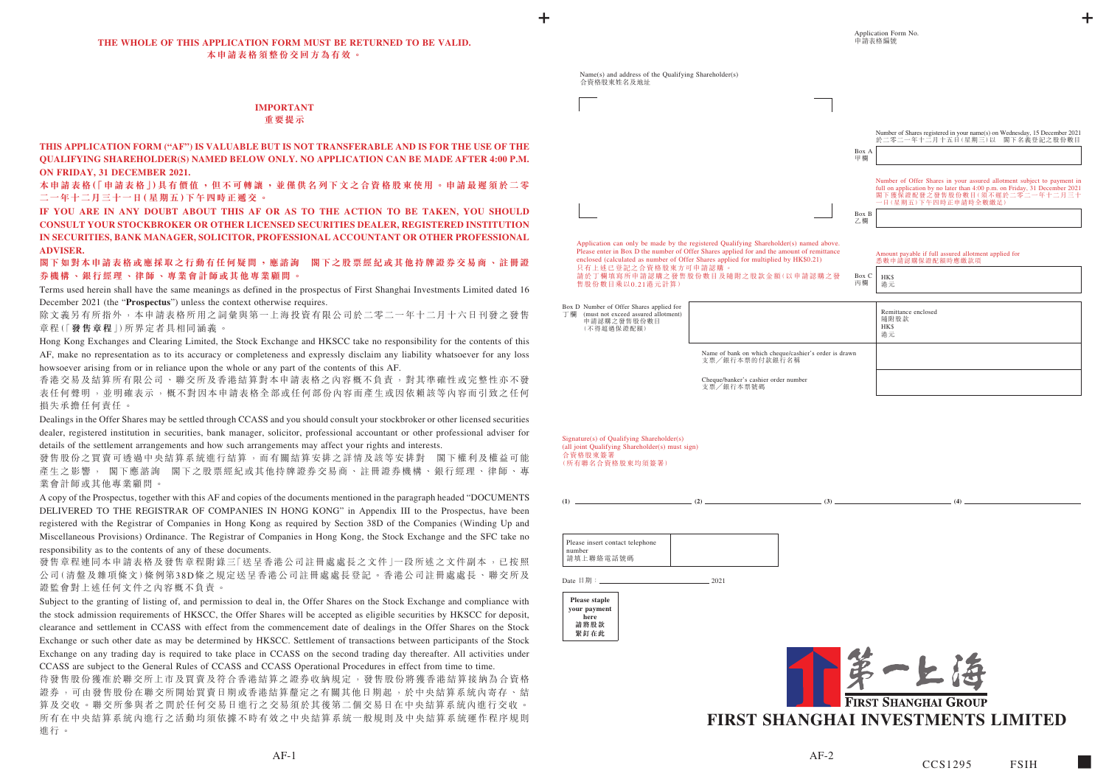#### **THE WHOLE OF THIS APPLICATION FORM MUST BE RETURNED TO BE VALID. 本申請表格須整份交回方為有效。**

## **IMPORTANT 重要提示**

**THIS APPLICATION FORM ("AF") IS VALUABLE BUT IS NOT TRANSFERABLE AND IS FOR THE USE OF THE QUALIFYING SHAREHOLDER(S) NAMED BELOW ONLY. NO APPLICATION CAN BE MADE AFTER 4:00 P.M. ON FRIDAY, 31 DECEMBER 2021.**

**本申請表格(「申請表格」)具有價值 ,但不可轉讓 ,並僅供名列下文之合資格股東使用 。申請最遲須於二零 二一年十二月三十一日(星期五)下午四時正遞交 。**

除文義另有所指外,本申請表格所用之詞彙與第一上海投資有限公司於二零二一年十二月十六日刊發之發售 章程(「**發售章程**」)所界定者具相同涵義 。

**IF YOU ARE IN ANY DOUBT ABOUT THIS AF OR AS TO THE ACTION TO BE TAKEN, YOU SHOULD CONSULT YOUR STOCKBROKER OR OTHER LICENSED SECURITIES DEALER, REGISTERED INSTITUTION IN SECURITIES, BANK MANAGER, SOLICITOR, PROFESSIONAL ACCOUNTANT OR OTHER PROFESSIONAL ADVISER.**

## **閣下如對本申請表格或應採取之行動有任何疑問,應諮詢 閣下之股票經紀或其他持牌證券交易商、註冊證 券機構、銀行經理、律師、專業會計師或其他專業顧問。**

Terms used herein shall have the same meanings as defined in the prospectus of First Shanghai Investments Limited dated 16 December 2021 (the "**Prospectus**") unless the context otherwise requires.

發售股份之買賣可透過中央結算系統進行結算,而有關結算安排之詳情及該等安排對 閣下權利及權益可能 產生之影響, 閣下應諮詢 閣下之股票經紀或其他持牌證券交易商、註冊證券機構、銀行經理、律師、專 業會計師或其他專業顧問。

Hong Kong Exchanges and Clearing Limited, the Stock Exchange and HKSCC take no responsibility for the contents of this AF, make no representation as to its accuracy or completeness and expressly disclaim any liability whatsoever for any loss howsoever arising from or in reliance upon the whole or any part of the contents of this AF.

發售章程連同本申請表格及發售章程附錄三「送呈香港公司註冊處處長之文件」一段所述之文件副本,已按照 公司(清盤及雜項條文)條例第38D條之規定送呈香港公司註冊處處長登記。香港公司註冊處處長、聯交所及 證監會對上述任何文件之內容概不負責。

香港交易及結算所有限公司、聯交所及香港結算對本申請表格之內容概不負責,對其準確性或完整性亦不發 表任何聲明,並明確表示,概不對因本申請表格全部或任何部份內容而產生或因依賴該等內容而引致之任何 損失承擔任何責任。

Dealings in the Offer Shares may be settled through CCASS and you should consult your stockbroker or other licensed securities dealer, registered institution in securities, bank manager, solicitor, professional accountant or other professional adviser for details of the settlement arrangements and how such arrangements may affect your rights and interests.

待發售股份獲准於聯交所上市及買賣及符合香港結算之證券收納規定,發售股份將獲香港結算接納為合資格 證券,可由發售股份在聯交所開始買賣日期或香港結算釐定之有關其他日期起,於中央結算系統內寄存、結 算及交收。聯交所參與者之間於任何交易日進行之交易須於其後第二個交易日在中央結算系統內進行交收。 所有在中央結算系統內進行之活動均須依據不時有效之中央結算系統一般規則及中央結算系統運作程序規則 進行。

A copy of the Prospectus, together with this AF and copies of the documents mentioned in the paragraph headed "DOCUMENTS DELIVERED TO THE REGISTRAR OF COMPANIES IN HONG KONG" in Appendix III to the Prospectus, have been registered with the Registrar of Companies in Hong Kong as required by Section 38D of the Companies (Winding Up and Miscellaneous Provisions) Ordinance. The Registrar of Companies in Hong Kong, the Stock Exchange and the SFC take no responsibility as to the contents of any of these documents.

Subject to the granting of listing of, and permission to deal in, the Offer Shares on the Stock Exchange and compliance with the stock admission requirements of HKSCC, the Offer Shares will be accepted as eligible securities by HKSCC for deposit, clearance and settlement in CCASS with effect from the commencement date of dealings in the Offer Shares on the Stock Exchange or such other date as may be determined by HKSCC. Settlement of transactions between participants of the Stock Exchange on any trading day is required to take place in CCASS on the second trading day thereafter. All activities under CCASS are subject to the General Rules of CCASS and CCASS Operational Procedures in effect from time to time.

| Name(s) and address of the Qualifying Shareholder(s) |  |  |
|------------------------------------------------------|--|--|
| 合資格股東姓名及地址                                           |  |  |

Application can only be made by the registered Qualifying Shareholder(s) named above. Please enter in Box D the number of Offer Shares applied for and the amount of remittance enclosed (calculated as number of Offer Shares applied for multiplied by HK\$0.21) 只有上述已登記之合資格股東方可申請認購 請於丁欄填寫所申請認購之發售股份數目及隨附之股款金額(以申請認購之發 售股份數目乘以0.21港元計算)

Box D Number of Offer Shares applied for 丁欄 (must not exceed assured allotment) 申請認購之發售股份數目 (不得超過保證配額)

> Name of bank on which cheque/cashier's order is drawn 支票╱銀行本票的付款銀行名稱

Cheque/banker's cashier order number 支票╱銀行本票號碼

Signature(s) of Qualifying Shareholder(s) (all joint Qualifying Shareholder(s) must sign) 合資格股東簽署 (所有聯名合資格股東均須簽署)

**(1) (2) (3) (4)**

| Please insert contact telephone |  |
|---------------------------------|--|
| number                          |  |
| 請填上聯絡電話號碼                       |  |

Date 日期: 2021

**Please staple your payment here 請將股款 緊釘在此**



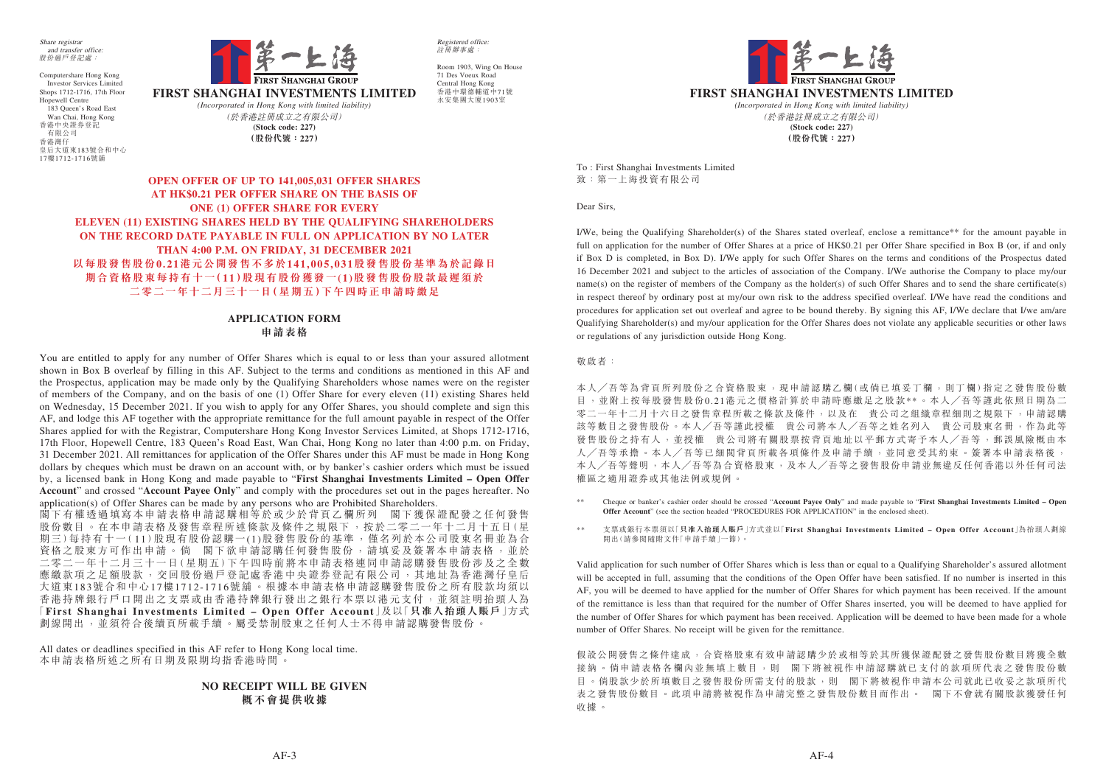

To : First Shanghai Investments Limited 致:第一上海投資有限公司

Dear Sirs,

I/We, being the Qualifying Shareholder(s) of the Shares stated overleaf, enclose a remittance\*\* for the amount payable in full on application for the number of Offer Shares at a price of HK\$0.21 per Offer Share specified in Box B (or, if and only if Box D is completed, in Box D). I/We apply for such Offer Shares on the terms and conditions of the Prospectus dated 16 December 2021 and subject to the articles of association of the Company. I/We authorise the Company to place my/our name(s) on the register of members of the Company as the holder(s) of such Offer Shares and to send the share certificate(s) in respect thereof by ordinary post at my/our own risk to the address specified overleaf. I/We have read the conditions and procedures for application set out overleaf and agree to be bound thereby. By signing this AF, I/We declare that I/we am/are Qualifying Shareholder(s) and my/our application for the Offer Shares does not violate any applicable securities or other laws or regulations of any jurisdiction outside Hong Kong.

敬啟者:

本人/吾等為背頁所列股份之合資格股東,現申請認購乙欄(或倘已填妥丁欄,則丁欄)指定之發售股份數 目,並附上按每股發售股份0.21港元之價格計算於申請時應繳足之股款\*\*。本人/吾等謹此依照日期為二 零二一年十二月十六日之發售章程所載之條款及條件,以及在 貴公司之組織章程細則之規限下,申請認購 該等數目之發售股份。本人/吾等謹此授權 貴公司將本人/吾等之姓名列入 貴公司股東名冊,作為此等 發售股份之持有人,並授權 貴公司將有關股票按背頁地址以平郵方式寄予本人/吾等,郵誤風險概由本 人╱吾等承擔。本人╱吾等已細閱背頁所載各項條件及申請手續,並同意受其約束。簽署本申請表格後, 本人╱吾等聲明,本人╱吾等為合資格股東,及本人╱吾等之發售股份申請並無違反任何香港以外任何司法 權區之適用證券或其他法例或規例。

假設公開發售之條件達成,合資格股東有效申請認購少於或相等於其所獲保證配發之發售股份數目將獲全數 接納。倘申請表格各欄內並無填上數目,則 閣下將被視作申請認購就已支付的款項所代表之發售股份數 目。倘股款少於所填數目之發售股份所需支付的股款,則 閣下將被視作申請本公司就此已收妥之款項所代 表之發售股份數目。此項申請將被視作為申請完整之發售股份數目而作出。 閣下不會就有關股款獲發任何 收據。

- \*\* Cheque or banker's cashier order should be crossed "**Account Payee Only**" and made payable to "**First Shanghai Investments Limited Open Offer Account**" (see the section headed "PROCEDURES FOR APPLICATION" in the enclosed sheet).
- \*\* 支票或銀行本票須以「**只准入抬頭人賬戶**」方式並以「**First Shanghai Investments Limited Open Offer Account**」為抬頭人劃線 開出(請參閱隨附文件「申請手續」一節)。

Valid application for such number of Offer Shares which is less than or equal to a Qualifying Shareholder's assured allotment will be accepted in full, assuming that the conditions of the Open Offer have been satisfied. If no number is inserted in this AF, you will be deemed to have applied for the number of Offer Shares for which payment has been received. If the amount of the remittance is less than that required for the number of Offer Shares inserted, you will be deemed to have applied for the number of Offer Shares for which payment has been received. Application will be deemed to have been made for a whole number of Offer Shares. No receipt will be given for the remittance.

閣下有權透過填寫本申請表格申請認購相等於或少於背頁乙欄所列 閣下獲保證配發之任何發售 股份數目。在本申請表格及發售章程所述條款及條件之規限下,按於二零二一年十二月十五日(星 期三)每持有十一( 11)股現有股份認購一(1)股發售股份的基準,僅名列於本公司股東名冊並為合 資格之股東方可作出申請。倘 閣下欲申請認購任何發售股份,請填妥及簽署本申請表格,並於 二零二一年十二月三十一日(星期五)下午四時前將本申請表格連同申請認購發售股份涉及之全數 應繳款項之足額股款,交回股份過戶登記處香港中央證券登記有限公司,其地址為香港灣仔皇后 大道東183號合和中心17樓1712-1716號舖。根據本申請表格申請認購發售股份之所有股款均須以 香港持牌銀行戶口開出之支票或由香港持牌銀行發出之銀行本票以港元支付,並須註明抬頭人為 「**First Shanghai Investments Limited – Open Offer Account**」及以「**只准入抬頭人賬戶**」方式 劃線開出,並須符合後續頁所載手續。屬受禁制股東之任何人士不得申請認購發售股份

**FIRST SHANGHAI INVESTMENTS LIMITED** *(Incorporated in Hong Kong with limited liability)* **(Stock code: 227)** (於香港註冊成立之有限公司) **(股份代號:227)**

**OPEN OFFER OF UP TO 141,005,031 OFFER SHARES AT HK\$0.21 PER OFFER SHARE ON THE BASIS OF ONE (1) OFFER SHARE FOR EVERY ELEVEN (11) EXISTING SHARES HELD BY THE QUALIFYING SHAREHOLDERS ON THE RECORD DATE PAYABLE IN FULL ON APPLICATION BY NO LATER THAN 4:00 P.M. ON FRIDAY, 31 DECEMBER 2021 以每股發售股份0.21港元公開發售不多於141,005,031股發售股份基準為於記錄日 期合資格股東每持有十一(11)股現有股份獲發一(1)股發售股份股款最遲須於 二零二一年十二月三十一日(星期五)下午四時正申請時繳足**

# **APPLICATION FORM 申請表格**

You are entitled to apply for any number of Offer Shares which is equal to or less than your assured allotment shown in Box B overleaf by filling in this AF. Subject to the terms and conditions as mentioned in this AF and the Prospectus, application may be made only by the Qualifying Shareholders whose names were on the register of members of the Company, and on the basis of one (1) Offer Share for every eleven (11) existing Shares held on Wednesday, 15 December 2021. If you wish to apply for any Offer Shares, you should complete and sign this AF, and lodge this AF together with the appropriate remittance for the full amount payable in respect of the Offer Shares applied for with the Registrar, Computershare Hong Kong Investor Services Limited, at Shops 1712-1716, 17th Floor, Hopewell Centre, 183 Queen's Road East, Wan Chai, Hong Kong no later than 4:00 p.m. on Friday, 31 December 2021. All remittances for application of the Offer Shares under this AF must be made in Hong Kong dollars by cheques which must be drawn on an account with, or by banker's cashier orders which must be issued by, a licensed bank in Hong Kong and made payable to "**First Shanghai Investments Limited – Open Offer Account**" and crossed "**Account Payee Only**" and comply with the procedures set out in the pages hereafter. No application(s) of Offer Shares can be made by any persons who are Prohibited Shareholders.

All dates or deadlines specified in this AF refer to Hong Kong local time. 本申請表格所述之所有日期及限期均指香港時間。

# **NO RECEIPT WILL BE GIVEN 概不會提供收據**

Share registrar and transfer office: 股份過戶登記處:

Computershare Hong Kong Investor Services Limited Shops 1712-1716, 17th Floor Hopewell Centre 183 Queen's Road East Wan Chai, Hong Kong 香港中央證券登記 有限公司 香港灣仔 皇后大道東183號合和中心 17樓1712-1716號舖



Registered office: 註冊辦事處:

Room 1903, Wing On House 71 Des Voeux Road Central Hong Kong 香港中環德輔道中71號 永安集團大廈1903室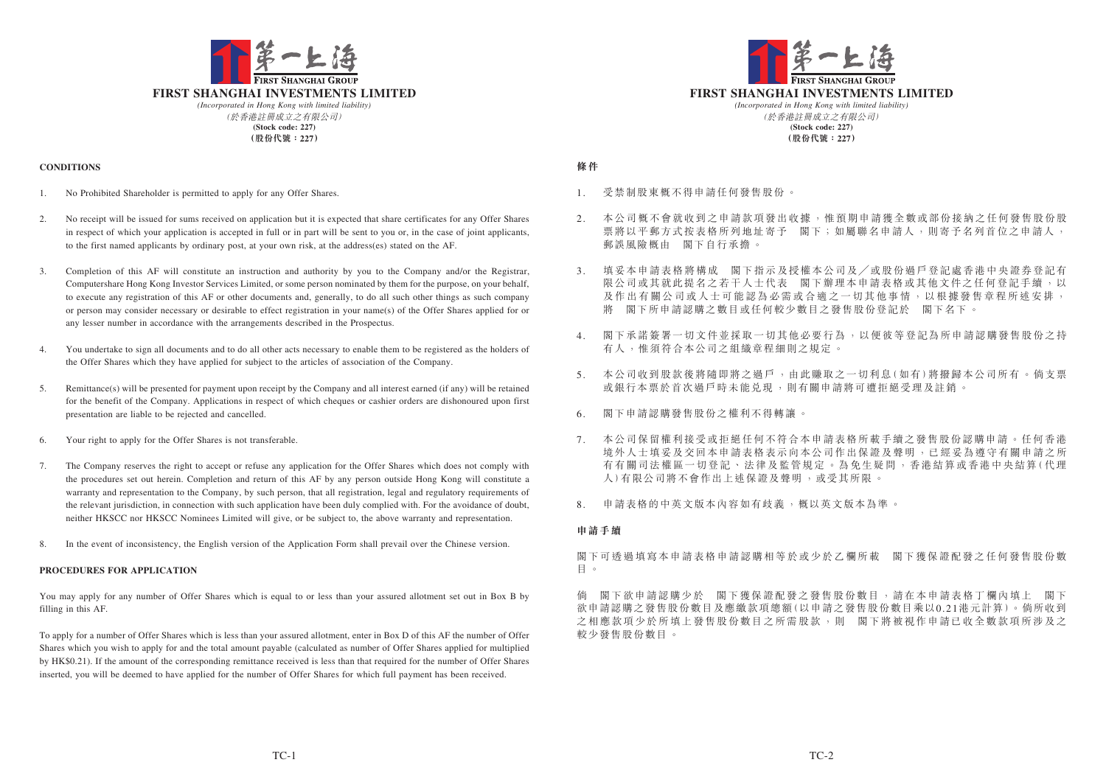- 1. 受禁制股東概不得申請任何發售股份。
- 2. 本公司概不會就收到之申請款項發出收據,惟預期申請獲全數或部份接納之任何發售股份股 票將以平郵方式按表格所列地址寄予 閣下;如屬聯名申請人,則寄予名列首位之申請人, 郵誤風險概由 閣下自行承擔。
- 3. 填妥本申請表格將構成 閣下指示及授權本公司及╱或股份過戶登記處香港中央證券登記有 限公司或其就此提名之若干人士代表 閣下辦理本申請表格或其他文件之任何登記手續,以 及作出有關公司或人士可能認為必需或合適之一切其他事情,以根據發售章程所述安排, 將 閣下所申請認購之數目或任何較少數目之發售股份登記於 閣下名下。
- 4. 閣下承諾簽署一切文件並採取一切其他必要行為,以便彼等登記為所申請認購發售股份之持 有人,惟須符合本公司之組織章程細則之規定。
- 5. 本公司收到股款後將隨即將之過戶,由此賺取之一切利息(如有)將撥歸本公司所有。倘支票 或銀行本票於首次過戶時未能兌現,則有關申請將可遭拒絕受理及註銷。
- 6. 閣下申請認購發售股份之權利不得轉讓。
- 7. 本公司保留權利接受或拒絕任何不符合本申請表格所載手續之發售股份認購申請。任何香港 境外人士填妥及交回本申請表格表示向本公司作出保證及聲明,已經妥為遵守有關申請之所 有有關司法權區一切登記 、法律及監管規定 。為免生疑問 ,香港結算或香港中央結算(代理 人)有限公司將不會作出上述保證及聲明 ,或受其所限 。
- 申請表格的中英文版本內容如有歧義,概以英文版本為準。



# **條件**

## **申請手續**

閣下可透過填寫本申請表格申請認購相等於或少於乙欄所載 閣下獲保證配發之任何發售股份數 目 。

倘 閣下欲申請認購少於 閣下獲保證配發之發售股份數目,請在本申請表格丁欄內填上 閣下 欲申請認購之發售股份數目及應繳款項總額(以申請之發售股份數目乘以0.21港元計算)。倘所收到 之相應款項少於所填上發售股份數目之所需股款,則 閣下將被視作申請已收全數款項所涉及之 較少發售股份數目。



#### **CONDITIONS**

- 1. No Prohibited Shareholder is permitted to apply for any Offer Shares.
- 2. No receipt will be issued for sums received on application but it is expected that share certificates for any Offer Shares in respect of which your application is accepted in full or in part will be sent to you or, in the case of joint applicants, to the first named applicants by ordinary post, at your own risk, at the address(es) stated on the AF.
- 3. Completion of this AF will constitute an instruction and authority by you to the Company and/or the Registrar, Computershare Hong Kong Investor Services Limited, or some person nominated by them for the purpose, on your behalf, to execute any registration of this AF or other documents and, generally, to do all such other things as such company or person may consider necessary or desirable to effect registration in your name(s) of the Offer Shares applied for or any lesser number in accordance with the arrangements described in the Prospectus.
- 4. You undertake to sign all documents and to do all other acts necessary to enable them to be registered as the holders of the Offer Shares which they have applied for subject to the articles of association of the Company.
- 5. Remittance(s) will be presented for payment upon receipt by the Company and all interest earned (if any) will be retained for the benefit of the Company. Applications in respect of which cheques or cashier orders are dishonoured upon first presentation are liable to be rejected and cancelled.
- 6. Your right to apply for the Offer Shares is not transferable.
- 7. The Company reserves the right to accept or refuse any application for the Offer Shares which does not comply with the procedures set out herein. Completion and return of this AF by any person outside Hong Kong will constitute a warranty and representation to the Company, by such person, that all registration, legal and regulatory requirements of the relevant jurisdiction, in connection with such application have been duly complied with. For the avoidance of doubt, neither HKSCC nor HKSCC Nominees Limited will give, or be subject to, the above warranty and representation.
- 8. In the event of inconsistency, the English version of the Application Form shall prevail over the Chinese version.

# **PROCEDURES FOR APPLICATION**

You may apply for any number of Offer Shares which is equal to or less than your assured allotment set out in Box B by filling in this AF.

To apply for a number of Offer Shares which is less than your assured allotment, enter in Box D of this AF the number of Offer Shares which you wish to apply for and the total amount payable (calculated as number of Offer Shares applied for multiplied by HK\$0.21). If the amount of the corresponding remittance received is less than that required for the number of Offer Shares inserted, you will be deemed to have applied for the number of Offer Shares for which full payment has been received.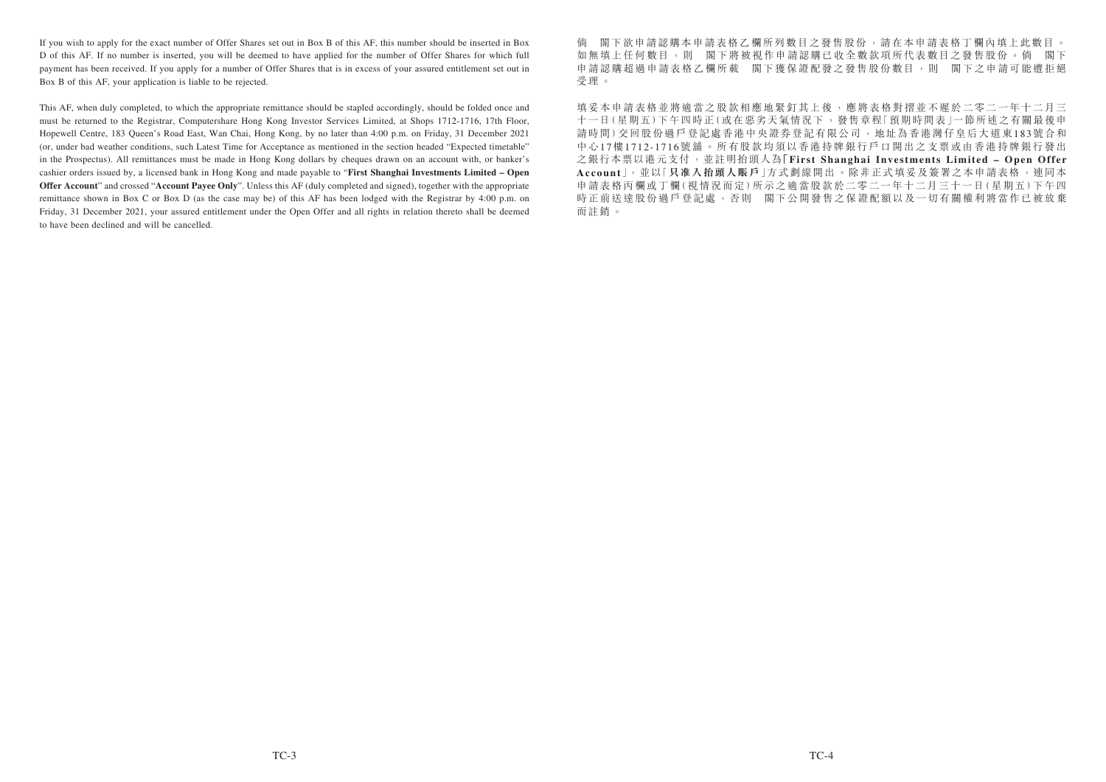倘 閣下欲申請認購本申請表格乙欄所列數目之發售股份,請在本申請表格丁欄內填上此數目。 如無填上任何數目,則 閣下將被視作申請認購已收全數款項所代表數目之發售股份。倘 閣下 申請認購超過申請表格乙欄所載 閣下獲保證配發之發售股份數目,則 閣下之申請可能遭拒絕 受理。

填妥本申請表格並將適當之股款相應地緊釘其上後,應將表格對摺並不遲於二零二一年十二月三 十一日(星期五)下午四時正(或在惡劣天氣情況下 ,發售章程「預期時間表」一節所述之有關最後申 請時間)交回股份過戶登記處香港中央證券登記有限公司 ,地址為香港灣仔皇后大道東183號合和 中心17樓1712-1716號舖。所有股款均須以香港持牌銀行戶口開出之支票或由香港持牌銀行發出 之銀行本票以港元支付,並註明抬頭人為**「First Shanghai Investments Limited – Open Offer Account**」,並以「**只准入抬頭人賬戶**」方式劃線開出 。除非正式填妥及簽署之本申請表格 ,連同本 申請表格丙欄或丁欄(視情況而定)所示之適當股款於二零二一年十二月三十一日(星期五)下午四 時正前送達股份過戶登記處,否則 閣下公開發售之保證配額以及一切有關權利將當作已被放棄 而註銷。

If you wish to apply for the exact number of Offer Shares set out in Box B of this AF, this number should be inserted in Box D of this AF. If no number is inserted, you will be deemed to have applied for the number of Offer Shares for which full payment has been received. If you apply for a number of Offer Shares that is in excess of your assured entitlement set out in Box B of this AF, your application is liable to be rejected.

This AF, when duly completed, to which the appropriate remittance should be stapled accordingly, should be folded once and must be returned to the Registrar, Computershare Hong Kong Investor Services Limited, at Shops 1712-1716, 17th Floor, Hopewell Centre, 183 Queen's Road East, Wan Chai, Hong Kong, by no later than 4:00 p.m. on Friday, 31 December 2021 (or, under bad weather conditions, such Latest Time for Acceptance as mentioned in the section headed "Expected timetable" in the Prospectus). All remittances must be made in Hong Kong dollars by cheques drawn on an account with, or banker's cashier orders issued by, a licensed bank in Hong Kong and made payable to "**First Shanghai Investments Limited – Open Offer Account**" and crossed "**Account Payee Only**". Unless this AF (duly completed and signed), together with the appropriate remittance shown in Box C or Box D (as the case may be) of this AF has been lodged with the Registrar by 4:00 p.m. on Friday, 31 December 2021, your assured entitlement under the Open Offer and all rights in relation thereto shall be deemed to have been declined and will be cancelled.